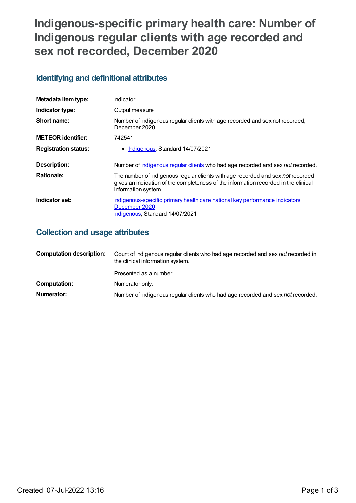# **Indigenous-specific primary health care: Number of Indigenous regular clients with age recorded and sex not recorded, December 2020**

## **Identifying and definitional attributes**

| Metadata item type:         | Indicator                                                                                                                                                                                     |
|-----------------------------|-----------------------------------------------------------------------------------------------------------------------------------------------------------------------------------------------|
| Indicator type:             | Output measure                                                                                                                                                                                |
| Short name:                 | Number of Indigenous regular clients with age recorded and sex not recorded,<br>December 2020                                                                                                 |
| <b>METEOR</b> identifier:   | 742541                                                                                                                                                                                        |
| <b>Registration status:</b> | • Indigenous, Standard 14/07/2021                                                                                                                                                             |
| Description:                | Number of <b>Indigenous regular clients</b> who had age recorded and sex not recorded.                                                                                                        |
| <b>Rationale:</b>           | The number of Indigenous regular clients with age recorded and sex not recorded<br>gives an indication of the completeness of the information recorded in the clinical<br>information system. |
| Indicator set:              | Indigenous-specific primary health care national key performance indicators<br>December 2020<br>Indigenous, Standard 14/07/2021                                                               |

## **Collection and usage attributes**

| <b>Computation description:</b> | Count of Indigenous regular clients who had age recorded and sex not recorded in<br>the clinical information system. |
|---------------------------------|----------------------------------------------------------------------------------------------------------------------|
|                                 | Presented as a number.                                                                                               |
| Computation:                    | Numerator only.                                                                                                      |
| Numerator:                      | Number of Indigenous regular clients who had age recorded and sex not recorded.                                      |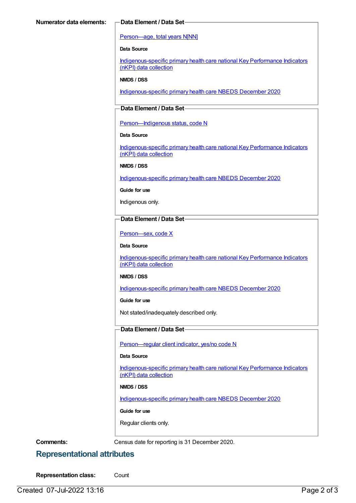#### [Person—age,](https://meteor.aihw.gov.au/content/303794) total years N[NN]

#### **Data Source**

[Indigenous-specific](https://meteor.aihw.gov.au/content/737914) primary health care national Key Performance Indicators (nKPI) data collection

#### **NMDS / DSS**

[Indigenous-specific](https://meteor.aihw.gov.au/content/738532) primary health care NBEDS December 2020

### **Data Element / Data Set**

Person-Indigenous status, code N

#### **Data Source**

[Indigenous-specific](https://meteor.aihw.gov.au/content/737914) primary health care national Key Performance Indicators (nKPI) data collection

#### **NMDS / DSS**

[Indigenous-specific](https://meteor.aihw.gov.au/content/738532) primary health care NBEDS December 2020

**Guide for use**

Indigenous only.

#### **Data Element / Data Set**

[Person—sex,](https://meteor.aihw.gov.au/content/635126) code X

#### **Data Source**

[Indigenous-specific](https://meteor.aihw.gov.au/content/737914) primary health care national Key Performance Indicators (nKPI) data collection

#### **NMDS / DSS**

[Indigenous-specific](https://meteor.aihw.gov.au/content/738532) primary health care NBEDS December 2020

#### **Guide for use**

Not stated/inadequately described only.

#### **Data Element / Data Set**

[Person—regular](https://meteor.aihw.gov.au/content/686291) client indicator, yes/no code N

#### **Data Source**

[Indigenous-specific](https://meteor.aihw.gov.au/content/737914) primary health care national Key Performance Indicators (nKPI) data collection

#### **NMDS / DSS**

[Indigenous-specific](https://meteor.aihw.gov.au/content/738532) primary health care NBEDS December 2020

#### **Guide for use**

Regular clients only.

**Comments:** Census date for reporting is 31 December 2020.

## **Representational attributes**

**Representation class:** Count